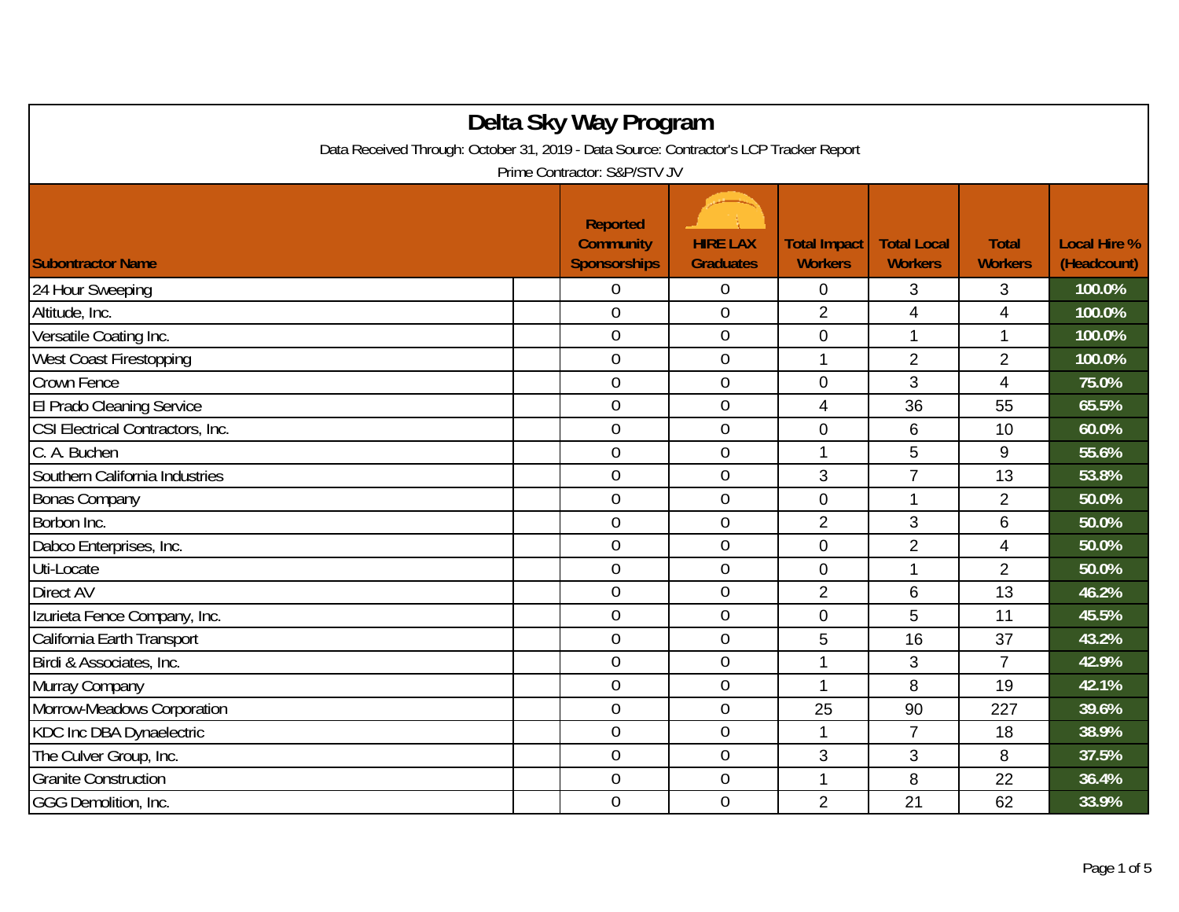| Delta Sky Way Program                                                                  |                                                            |                                     |                                       |                                      |                                |                                    |  |  |
|----------------------------------------------------------------------------------------|------------------------------------------------------------|-------------------------------------|---------------------------------------|--------------------------------------|--------------------------------|------------------------------------|--|--|
| Data Received Through: October 31, 2019 - Data Source: Contractor's LCP Tracker Report |                                                            |                                     |                                       |                                      |                                |                                    |  |  |
| Prime Contractor: S&P/STV JV                                                           |                                                            |                                     |                                       |                                      |                                |                                    |  |  |
| <b>Subontractor Name</b>                                                               | <b>Reported</b><br><b>Community</b><br><b>Sponsorships</b> | <b>HIRE LAX</b><br><b>Graduates</b> | <b>Total Impact</b><br><b>Workers</b> | <b>Total Local</b><br><b>Workers</b> | <b>Total</b><br><b>Workers</b> | <b>Local Hire %</b><br>(Headcount) |  |  |
| 24 Hour Sweeping                                                                       | 0                                                          | $\overline{0}$                      | $\mathbf{0}$                          | 3                                    | 3                              | 100.0%                             |  |  |
| Altitude, Inc.                                                                         | $\overline{0}$                                             | $\mathbf 0$                         | $\overline{2}$                        | 4                                    | $\overline{\mathbf{4}}$        | 100.0%                             |  |  |
| Versatile Coating Inc.                                                                 | $\overline{0}$                                             | $\mathbf 0$                         | $\mathbf 0$                           | 1                                    | 1                              | 100.0%                             |  |  |
| <b>West Coast Firestopping</b>                                                         | $\overline{0}$                                             | $\overline{0}$                      | 1                                     | $\overline{2}$                       | $\overline{2}$                 | 100.0%                             |  |  |
| Crown Fence                                                                            | $\overline{0}$                                             | $\mathbf 0$                         | $\mathbf 0$                           | 3                                    | 4                              | 75.0%                              |  |  |
| El Prado Cleaning Service                                                              | $\overline{0}$                                             | $\boldsymbol{0}$                    | $\overline{4}$                        | 36                                   | 55                             | 65.5%                              |  |  |
| CSI Electrical Contractors, Inc.                                                       | $\overline{0}$                                             | $\theta$                            | $\overline{0}$                        | 6                                    | 10                             | 60.0%                              |  |  |
| C. A. Buchen                                                                           | $\overline{0}$                                             | $\overline{0}$                      | $\mathbf 1$                           | 5                                    | 9                              | 55.6%                              |  |  |
| Southern California Industries                                                         | $\overline{0}$                                             | $\boldsymbol{0}$                    | 3                                     | $\overline{7}$                       | 13                             | 53.8%                              |  |  |
| <b>Bonas Company</b>                                                                   | $\overline{0}$                                             | $\boldsymbol{0}$                    | $\overline{0}$                        | $\mathbf{1}$                         | $\overline{2}$                 | 50.0%                              |  |  |
| Borbon Inc.                                                                            | $\boldsymbol{0}$                                           | $\boldsymbol{0}$                    | $\overline{2}$                        | 3                                    | 6                              | 50.0%                              |  |  |
| Dabco Enterprises, Inc.                                                                | $\overline{0}$                                             | $\mathbf 0$                         | $\mathbf 0$                           | $\overline{2}$                       | $\overline{\mathbf{4}}$        | 50.0%                              |  |  |
| Uti-Locate                                                                             | $\overline{0}$                                             | $\overline{0}$                      | $\overline{0}$                        | $\mathbf{1}$                         | $\overline{2}$                 | 50.0%                              |  |  |
| Direct AV                                                                              | $\overline{0}$                                             | $\mathbf 0$                         | $\overline{2}$                        | 6                                    | 13                             | 46.2%                              |  |  |
| Izurieta Fence Company, Inc.                                                           | $\overline{0}$                                             | $\overline{0}$                      | $\overline{0}$                        | 5                                    | 11                             | 45.5%                              |  |  |
| California Earth Transport                                                             | $\overline{0}$                                             | $\boldsymbol{0}$                    | 5                                     | 16                                   | 37                             | 43.2%                              |  |  |
| Birdi & Associates, Inc.                                                               | $\overline{0}$                                             | $\mathbf 0$                         | 1                                     | 3                                    | $\overline{7}$                 | 42.9%                              |  |  |
| Murray Company                                                                         | $\overline{0}$                                             | $\boldsymbol{0}$                    | 1                                     | 8                                    | 19                             | 42.1%                              |  |  |
| Morrow-Meadows Corporation                                                             | $\overline{0}$                                             | $\boldsymbol{0}$                    | 25                                    | 90                                   | 227                            | 39.6%                              |  |  |
| KDC Inc DBA Dynaelectric                                                               | $\boldsymbol{0}$                                           | $\boldsymbol{0}$                    | $\mathbf{1}$                          | $\overline{7}$                       | 18                             | 38.9%                              |  |  |
| The Culver Group, Inc.                                                                 | $\overline{0}$                                             | $\theta$                            | 3                                     | 3                                    | 8                              | 37.5%                              |  |  |
| <b>Granite Construction</b>                                                            | $\overline{0}$                                             | $\overline{0}$                      | 1                                     | 8                                    | 22                             | 36.4%                              |  |  |
| GGG Demolition, Inc.                                                                   | $\overline{0}$                                             | $\overline{0}$                      | $\overline{2}$                        | 21                                   | 62                             | 33.9%                              |  |  |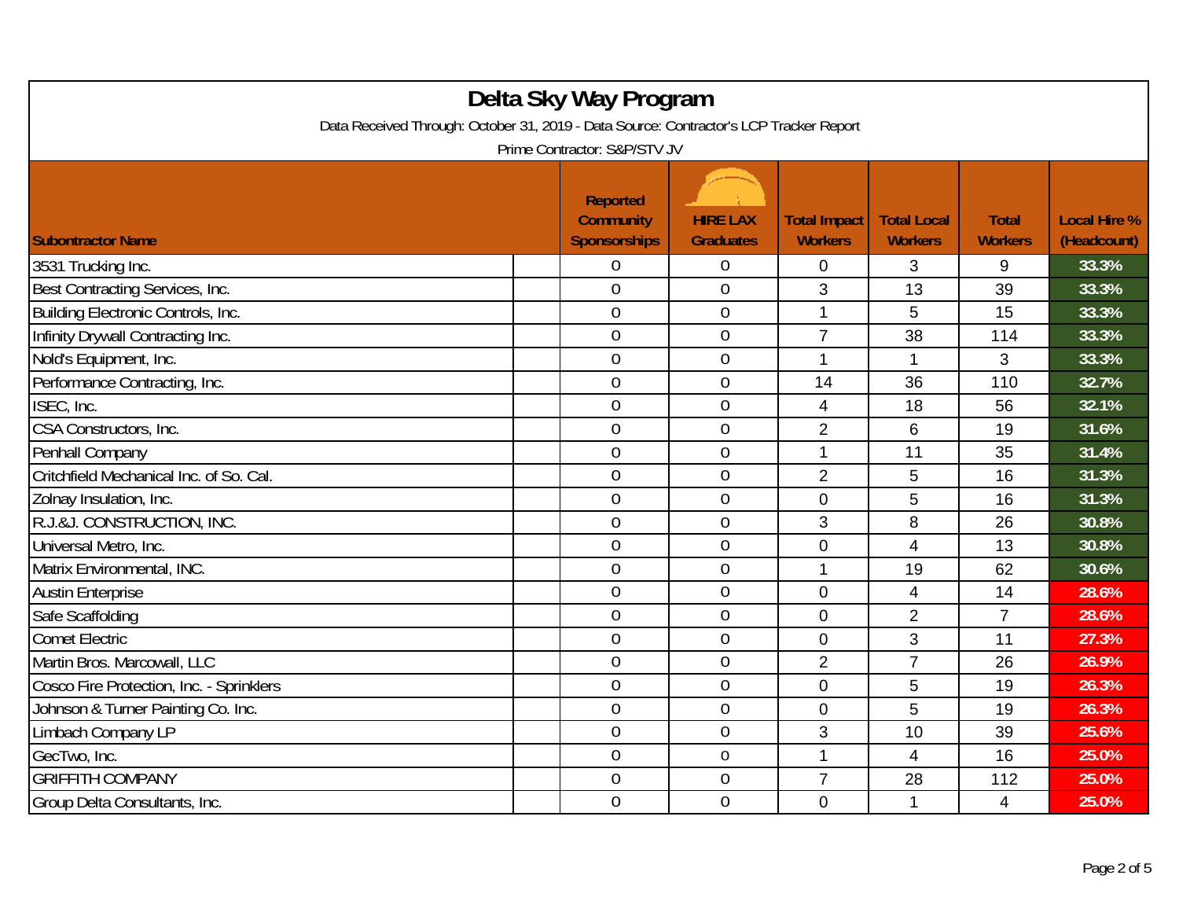| Delta Sky Way Program<br>Data Received Through: October 31, 2019 - Data Source: Contractor's LCP Tracker Report<br>Prime Contractor: S&P/STV JV |  |                                                            |                                     |                                       |                                      |                                |                                    |
|-------------------------------------------------------------------------------------------------------------------------------------------------|--|------------------------------------------------------------|-------------------------------------|---------------------------------------|--------------------------------------|--------------------------------|------------------------------------|
| <b>Subontractor Name</b>                                                                                                                        |  | <b>Reported</b><br><b>Community</b><br><b>Sponsorships</b> | <b>HIRE LAX</b><br><b>Graduates</b> | <b>Total Impact</b><br><b>Workers</b> | <b>Total Local</b><br><b>Workers</b> | <b>Total</b><br><b>Workers</b> | <b>Local Hire %</b><br>(Headcount) |
| 3531 Trucking Inc.                                                                                                                              |  | 0                                                          | $\overline{0}$                      | 0                                     | 3                                    | 9                              | 33.3%                              |
| Best Contracting Services, Inc.                                                                                                                 |  | $\overline{0}$                                             | $\overline{0}$                      | 3                                     | 13                                   | 39                             | 33.3%                              |
| Building Electronic Controls, Inc.                                                                                                              |  | $\overline{0}$                                             | $\boldsymbol{0}$                    | $\mathbf{1}$                          | 5                                    | 15                             | 33.3%                              |
| Infinity Drywall Contracting Inc.                                                                                                               |  | $\overline{0}$                                             | $\mathbf 0$                         | $\overline{7}$                        | 38                                   | 114                            | 33.3%                              |
| Nold's Equipment, Inc.                                                                                                                          |  | $\overline{0}$                                             | $\overline{0}$                      | 1                                     | $\mathbf{1}$                         | 3                              | 33.3%                              |
| Performance Contracting, Inc.                                                                                                                   |  | $\overline{0}$                                             | $\boldsymbol{0}$                    | 14                                    | 36                                   | 110                            | 32.7%                              |
| ISEC, Inc.                                                                                                                                      |  | $\overline{0}$                                             | $\mathbf 0$                         | 4                                     | 18                                   | 56                             | 32.1%                              |
| CSA Constructors, Inc.                                                                                                                          |  | $\overline{0}$                                             | $\mathbf 0$                         | $\overline{2}$                        | 6                                    | 19                             | 31.6%                              |
| Penhall Company                                                                                                                                 |  | $\boldsymbol{0}$                                           | $\boldsymbol{0}$                    | $\mathbf 1$                           | 11                                   | 35                             | 31.4%                              |
| Critchfield Mechanical Inc. of So. Cal.                                                                                                         |  | $\mathbf 0$                                                | $\mathbf 0$                         | $\overline{2}$                        | 5                                    | 16                             | 31.3%                              |
| Zolnay Insulation, Inc.                                                                                                                         |  | $\overline{0}$                                             | $\mathbf 0$                         | $\overline{0}$                        | 5                                    | 16                             | 31.3%                              |
| R.J.&J. CONSTRUCTION, INC.                                                                                                                      |  | $\overline{0}$                                             | $\mathbf 0$                         | 3                                     | 8                                    | 26                             | 30.8%                              |
| Universal Metro, Inc.                                                                                                                           |  | $\overline{0}$                                             | $\mathbf 0$                         | $\mathbf 0$                           | $\overline{4}$                       | 13                             | 30.8%                              |
| Matrix Environmental, INC.                                                                                                                      |  | $\overline{0}$                                             | $\boldsymbol{0}$                    | 1                                     | 19                                   | 62                             | 30.6%                              |
| <b>Austin Enterprise</b>                                                                                                                        |  | $\mathbf 0$                                                | $\boldsymbol{0}$                    | $\mathbf 0$                           | 4                                    | 14                             | 28.6%                              |
| Safe Scaffolding                                                                                                                                |  | $\overline{0}$                                             | $\mathbf 0$                         | $\overline{0}$                        | $\overline{2}$                       | $\overline{7}$                 | 28.6%                              |
| Comet Electric                                                                                                                                  |  | $\mathbf 0$                                                | $\mathbf 0$                         | $\overline{0}$                        | 3                                    | 11                             | 27.3%                              |
| Martin Bros. Marcowall, LLC                                                                                                                     |  | $\overline{0}$                                             | $\mathbf 0$                         | $\overline{2}$                        | $\overline{7}$                       | 26                             | 26.9%                              |
| Cosco Fire Protection, Inc. - Sprinklers                                                                                                        |  | $\overline{0}$                                             | $\overline{0}$                      | $\overline{0}$                        | 5                                    | 19                             | 26.3%                              |
| Johnson & Turner Painting Co. Inc.                                                                                                              |  | $\boldsymbol{0}$                                           | $\boldsymbol{0}$                    | $\mathbf 0$                           | 5                                    | 19                             | 26.3%                              |
| Limbach Company LP                                                                                                                              |  | $\overline{0}$                                             | $\boldsymbol{0}$                    | 3                                     | 10                                   | 39                             | 25.6%                              |
| GecTwo, Inc.                                                                                                                                    |  | $\overline{0}$                                             | $\overline{0}$                      | 1                                     | 4                                    | 16                             | 25.0%                              |
| <b>GRIFFITH COMPANY</b>                                                                                                                         |  | $\boldsymbol{0}$                                           | $\boldsymbol{0}$                    | $\overline{7}$                        | 28                                   | 112                            | 25.0%                              |
| Group Delta Consultants, Inc.                                                                                                                   |  | $\overline{0}$                                             | $\overline{0}$                      | $\overline{0}$                        | 1                                    | 4                              | 25.0%                              |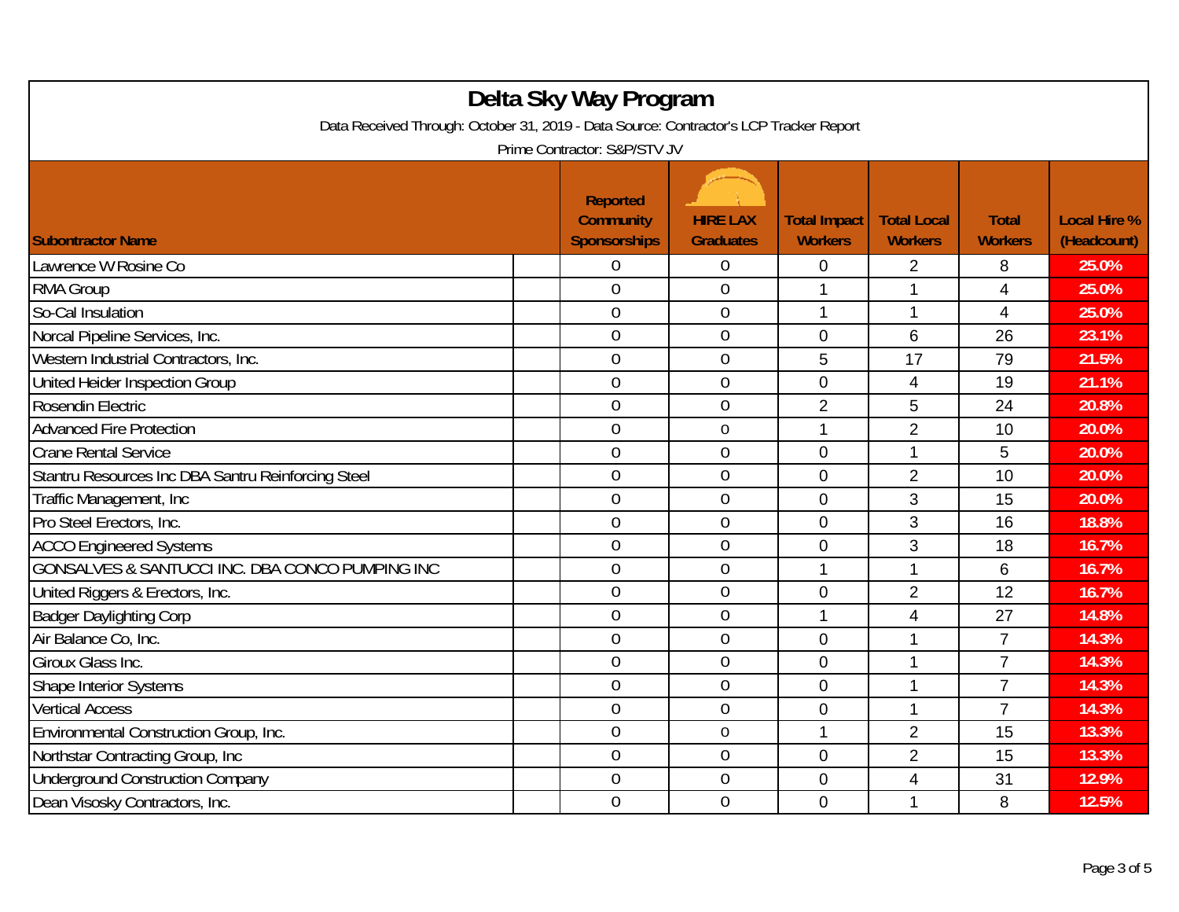| Delta Sky Way Program<br>Data Received Through: October 31, 2019 - Data Source: Contractor's LCP Tracker Report<br>Prime Contractor: S&P/STV JV |                                                            |                                     |                                       |                                      |                                |                                    |  |
|-------------------------------------------------------------------------------------------------------------------------------------------------|------------------------------------------------------------|-------------------------------------|---------------------------------------|--------------------------------------|--------------------------------|------------------------------------|--|
| <b>Subontractor Name</b>                                                                                                                        | <b>Reported</b><br><b>Community</b><br><b>Sponsorships</b> | <b>HIRE LAX</b><br><b>Graduates</b> | <b>Total Impact</b><br><b>Workers</b> | <b>Total Local</b><br><b>Workers</b> | <b>Total</b><br><b>Workers</b> | <b>Local Hire %</b><br>(Headcount) |  |
| Lawrence W Rosine Co                                                                                                                            | 0                                                          | $\boldsymbol{0}$                    | $\mathbf{0}$                          | $\overline{2}$                       | 8                              | 25.0%                              |  |
| <b>RMA Group</b>                                                                                                                                | $\overline{0}$                                             | $\overline{0}$                      | $\mathbf{1}$                          | 1                                    | 4                              | 25.0%                              |  |
| So-Cal Insulation                                                                                                                               | $\overline{0}$                                             | $\boldsymbol{0}$                    | 1                                     | 1                                    | 4                              | 25.0%                              |  |
| Norcal Pipeline Services, Inc.                                                                                                                  | $\mathbf 0$                                                | $\mathbf 0$                         | $\mathbf 0$                           | 6                                    | 26                             | 23.1%                              |  |
| Western Industrial Contractors, Inc.                                                                                                            | $\overline{0}$                                             | $\overline{0}$                      | 5                                     | 17                                   | 79                             | 21.5%                              |  |
| United Heider Inspection Group                                                                                                                  | $\overline{0}$                                             | $\mathbf 0$                         | $\overline{0}$                        | 4                                    | 19                             | 21.1%                              |  |
| Rosendin Electric                                                                                                                               | $\overline{0}$                                             | $\overline{0}$                      | $\overline{2}$                        | 5                                    | 24                             | 20.8%                              |  |
| <b>Advanced Fire Protection</b>                                                                                                                 | $\overline{0}$                                             | $\mathbf 0$                         | 1                                     | $\overline{2}$                       | 10                             | 20.0%                              |  |
| <b>Crane Rental Service</b>                                                                                                                     | $\overline{0}$                                             | $\boldsymbol{0}$                    | 0                                     | 1                                    | 5                              | 20.0%                              |  |
| Stantru Resources Inc DBA Santru Reinforcing Steel                                                                                              | $\mathbf 0$                                                | $\mathbf 0$                         | 0                                     | $\overline{2}$                       | 10                             | 20.0%                              |  |
| Traffic Management, Inc.                                                                                                                        | $\overline{0}$                                             | $\overline{0}$                      | $\overline{0}$                        | 3                                    | 15                             | 20.0%                              |  |
| Pro Steel Erectors, Inc.                                                                                                                        | $\overline{0}$                                             | $\overline{0}$                      | $\overline{0}$                        | 3                                    | 16                             | 18.8%                              |  |
| <b>ACCO Engineered Systems</b>                                                                                                                  | $\overline{0}$                                             | $\theta$                            | 0                                     | 3                                    | 18                             | 16.7%                              |  |
| GONSALVES & SANTUCCI INC. DBA CONCO PUMPING INC                                                                                                 | $\overline{0}$                                             | $\mathbf 0$                         | 1                                     | 1                                    | 6                              | 16.7%                              |  |
| United Riggers & Erectors, Inc.                                                                                                                 | $\overline{0}$                                             | $\mathbf 0$                         | $\mathbf 0$                           | $\overline{2}$                       | 12                             | 16.7%                              |  |
| <b>Badger Daylighting Corp</b>                                                                                                                  | $\overline{0}$                                             | $\mathbf{0}$                        | $\mathbf{1}$                          | 4                                    | 27                             | 14.8%                              |  |
| Air Balance Co. Inc.                                                                                                                            | $\overline{0}$                                             | $\overline{0}$                      | 0                                     | 1                                    | $\overline{7}$                 | 14.3%                              |  |
| Giroux Glass Inc.                                                                                                                               | 0                                                          | $\boldsymbol{0}$                    | $\mathbf 0$                           | 1                                    | $\overline{7}$                 | 14.3%                              |  |
| <b>Shape Interior Systems</b>                                                                                                                   | $\overline{0}$                                             | $\mathbf 0$                         | 0                                     | 1                                    | $\overline{7}$                 | 14.3%                              |  |
| <b>Vertical Access</b>                                                                                                                          | $\overline{0}$                                             | $\mathbf 0$                         | 0                                     | 1                                    | $\overline{7}$                 | 14.3%                              |  |
| Environmental Construction Group, Inc.                                                                                                          | $\overline{0}$                                             | $\mathbf 0$                         | 1                                     | $\overline{2}$                       | 15                             | 13.3%                              |  |
| Northstar Contracting Group, Inc.                                                                                                               | $\overline{0}$                                             | $\overline{0}$                      | $\overline{0}$                        | $\overline{2}$                       | 15                             | 13.3%                              |  |
| <b>Underground Construction Company</b>                                                                                                         | $\boldsymbol{0}$                                           | $\boldsymbol{0}$                    | 0                                     | 4                                    | 31                             | 12.9%                              |  |
| Dean Visosky Contractors, Inc.                                                                                                                  | $\overline{0}$                                             | $\mathbf 0$                         | $\overline{0}$                        | 1                                    | 8                              | 12.5%                              |  |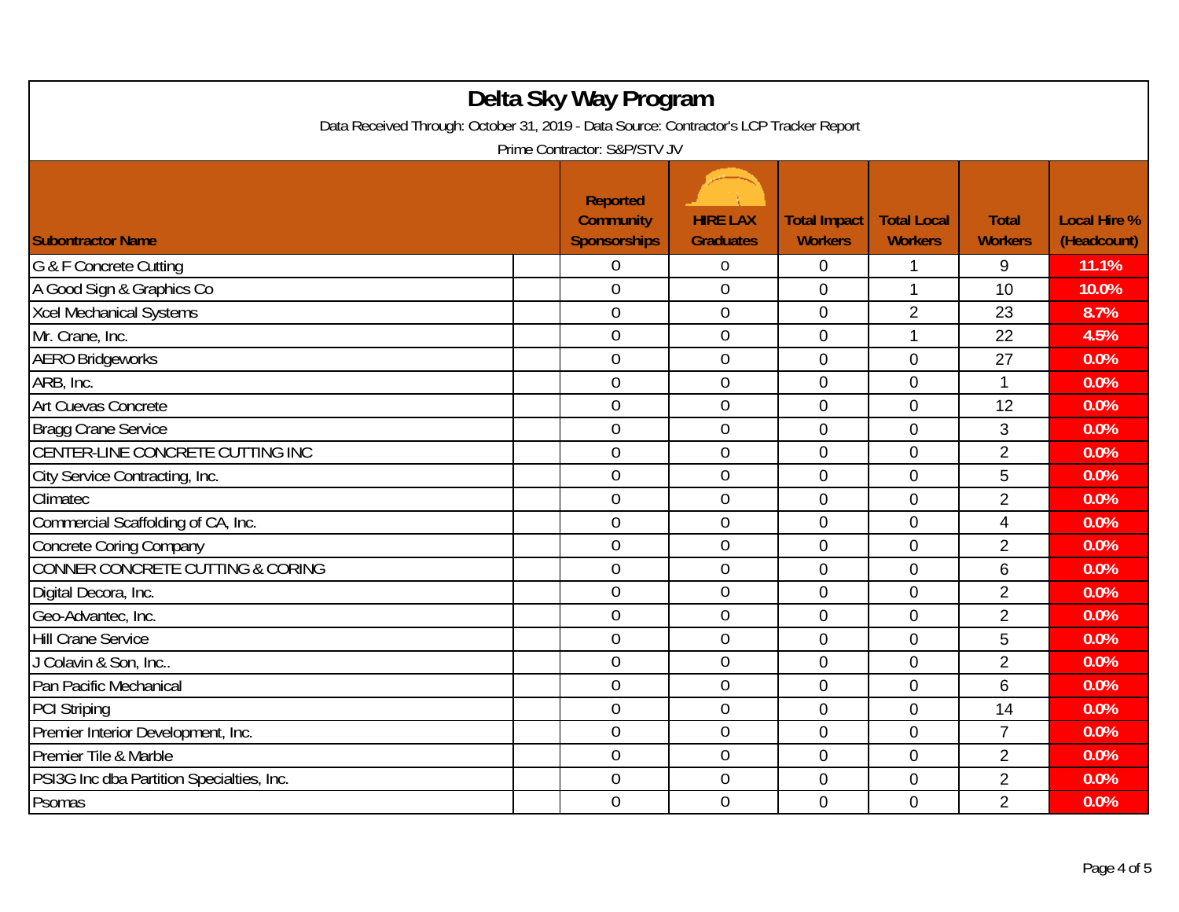| Delta Sky Way Program<br>Data Received Through: October 31, 2019 - Data Source: Contractor's LCP Tracker Report<br>Prime Contractor: S&P/STV JV |                                                            |                                     |                                       |                                      |                                |                                    |  |
|-------------------------------------------------------------------------------------------------------------------------------------------------|------------------------------------------------------------|-------------------------------------|---------------------------------------|--------------------------------------|--------------------------------|------------------------------------|--|
| <b>Subontractor Name</b>                                                                                                                        | <b>Reported</b><br><b>Community</b><br><b>Sponsorships</b> | <b>HIRE LAX</b><br><b>Graduates</b> | <b>Total Impact</b><br><b>Workers</b> | <b>Total Local</b><br><b>Workers</b> | <b>Total</b><br><b>Workers</b> | <b>Local Hire %</b><br>(Headcount) |  |
| G & F Concrete Cutting                                                                                                                          | 0                                                          | 0                                   | 0                                     | 1                                    | 9                              | 11.1%                              |  |
| A Good Sign & Graphics Co                                                                                                                       | $\overline{0}$                                             | $\overline{0}$                      | 0                                     | $\mathbf{1}$                         | 10                             | 10.0%                              |  |
| <b>Xcel Mechanical Systems</b>                                                                                                                  | $\mathbf 0$                                                | $\boldsymbol{0}$                    | $\mathbf 0$                           | $\overline{2}$                       | 23                             | 8.7%                               |  |
| Mr. Crane, Inc.                                                                                                                                 | $\overline{0}$                                             | $\mathbf 0$                         | $\mathbf 0$                           | $\mathbf{1}$                         | 22                             | 4.5%                               |  |
| <b>AERO Bridgeworks</b>                                                                                                                         | $\overline{0}$                                             | $\mathbf 0$                         | $\overline{0}$                        | 0                                    | 27                             | 0.0%                               |  |
| ARB, Inc.                                                                                                                                       | $\overline{0}$                                             | $\mathbf 0$                         | 0                                     | $\overline{0}$                       | $\mathbf{1}$                   | 0.0%                               |  |
| Art Cuevas Concrete                                                                                                                             | $\overline{0}$                                             | $\overline{0}$                      | $\overline{0}$                        | $\overline{0}$                       | 12                             | 0.0%                               |  |
| Bragg Crane Service                                                                                                                             | $\overline{0}$                                             | $\mathbf 0$                         | $\mathbf 0$                           | $\overline{0}$                       | 3                              | 0.0%                               |  |
| CENTER-LINE CONCRETE CUTTING INC                                                                                                                | $\overline{0}$                                             | $\boldsymbol{0}$                    | 0                                     | $\mathbf 0$                          | $\overline{2}$                 | 0.0%                               |  |
| City Service Contracting, Inc.                                                                                                                  | $\mathbf 0$                                                | $\mathbf 0$                         | $\mathbf 0$                           | $\mathbf 0$                          | 5                              | 0.0%                               |  |
| Climatec                                                                                                                                        | $\overline{0}$                                             | $\mathbf 0$                         | 0                                     | $\overline{0}$                       | $\overline{2}$                 | 0.0%                               |  |
| Commercial Scaffolding of CA, Inc.                                                                                                              | $\overline{0}$                                             | $\mathbf 0$                         | $\overline{0}$                        | $\overline{0}$                       | $\overline{\mathbf{4}}$        | 0.0%                               |  |
| <b>Concrete Coring Company</b>                                                                                                                  | $\mathbf 0$                                                | $\mathbf{0}$                        | 0                                     | $\mathbf 0$                          | $\overline{2}$                 | 0.0%                               |  |
| <b>CONNER CONCRETE CUTTING &amp; CORING</b>                                                                                                     | $\overline{0}$                                             | $\mathbf 0$                         | $\overline{0}$                        | $\overline{0}$                       | 6                              | 0.0%                               |  |
| Digital Decora, Inc.                                                                                                                            | 0                                                          | $\boldsymbol{0}$                    | 0                                     | $\mathbf 0$                          | $\overline{2}$                 | 0.0%                               |  |
| Geo-Advantec, Inc.                                                                                                                              | $\overline{0}$                                             | $\boldsymbol{0}$                    | 0                                     | $\mathbf 0$                          | $\overline{2}$                 | 0.0%                               |  |
| <b>Hill Crane Service</b>                                                                                                                       | $\overline{0}$                                             | $\overline{0}$                      | 0                                     | $\overline{0}$                       | 5                              | 0.0%                               |  |
| J Colavin & Son, Inc                                                                                                                            | $\overline{0}$                                             | $\overline{0}$                      | $\mathbf 0$                           | $\mathbf 0$                          | $\overline{2}$                 | 0.0%                               |  |
| Pan Pacific Mechanical                                                                                                                          | $\overline{0}$                                             | $\mathbf{0}$                        | $\overline{0}$                        | $\mathbf 0$                          | 6                              | 0.0%                               |  |
| <b>PCI Striping</b>                                                                                                                             | $\overline{0}$                                             | $\mathbf 0$                         | $\overline{0}$                        | $\mathbf 0$                          | 14                             | 0.0%                               |  |
| Premier Interior Development, Inc.                                                                                                              | 0                                                          | $\mathbf 0$                         | $\mathbf 0$                           | $\mathbf 0$                          | $\overline{7}$                 | 0.0%                               |  |
| Premier Tile & Marble                                                                                                                           | $\overline{0}$                                             | $\mathbf 0$                         | $\overline{0}$                        | 0                                    | $\overline{2}$                 | 0.0%                               |  |
| PSI3G Inc dba Partition Specialties, Inc.                                                                                                       | $\overline{0}$                                             | $\overline{0}$                      | 0                                     | $\mathbf 0$                          | $\overline{2}$                 | 0.0%                               |  |
| Psomas                                                                                                                                          | $\overline{0}$                                             | $\mathbf{0}$                        | $\overline{0}$                        | $\mathbf 0$                          | $\overline{2}$                 | 0.0%                               |  |